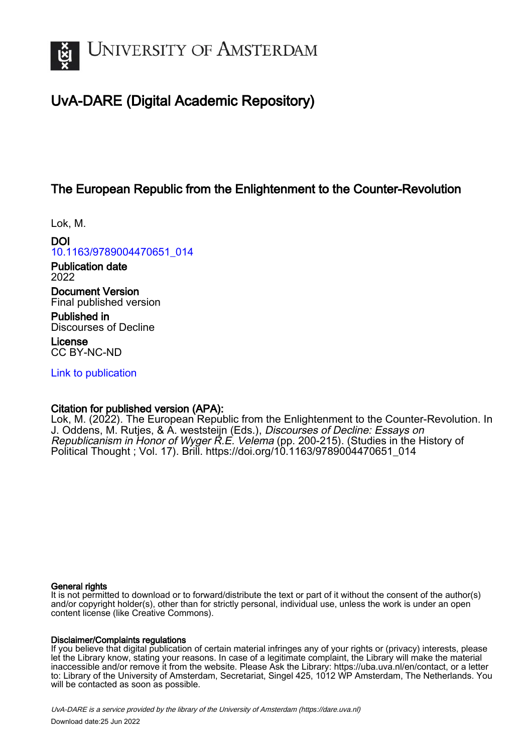

# UvA-DARE (Digital Academic Repository)

## The European Republic from the Enlightenment to the Counter-Revolution

Lok, M.

DOI [10.1163/9789004470651\\_014](https://doi.org/10.1163/9789004470651_014)

Publication date 2022

Document Version Final published version

Published in Discourses of Decline

License CC BY-NC-ND

[Link to publication](https://dare.uva.nl/personal/pure/en/publications/the-european-republic-from-the-enlightenment-to-the-counterrevolution(f1287e51-88f7-43d9-81e6-4193c132585d).html)

### Citation for published version (APA):

Lok, M. (2022). The European Republic from the Enlightenment to the Counter-Revolution. In J. Oddens, M. Rutjes, & A. weststeijn (Eds.), Discourses of Decline: Essays on Republicanism in Honor of Wyger R.E. Velema (pp. 200-215). (Studies in the History of Political Thought ; Vol. 17). Brill. [https://doi.org/10.1163/9789004470651\\_014](https://doi.org/10.1163/9789004470651_014)

### General rights

It is not permitted to download or to forward/distribute the text or part of it without the consent of the author(s) and/or copyright holder(s), other than for strictly personal, individual use, unless the work is under an open content license (like Creative Commons).

### Disclaimer/Complaints regulations

If you believe that digital publication of certain material infringes any of your rights or (privacy) interests, please let the Library know, stating your reasons. In case of a legitimate complaint, the Library will make the material inaccessible and/or remove it from the website. Please Ask the Library: https://uba.uva.nl/en/contact, or a letter to: Library of the University of Amsterdam, Secretariat, Singel 425, 1012 WP Amsterdam, The Netherlands. You will be contacted as soon as possible.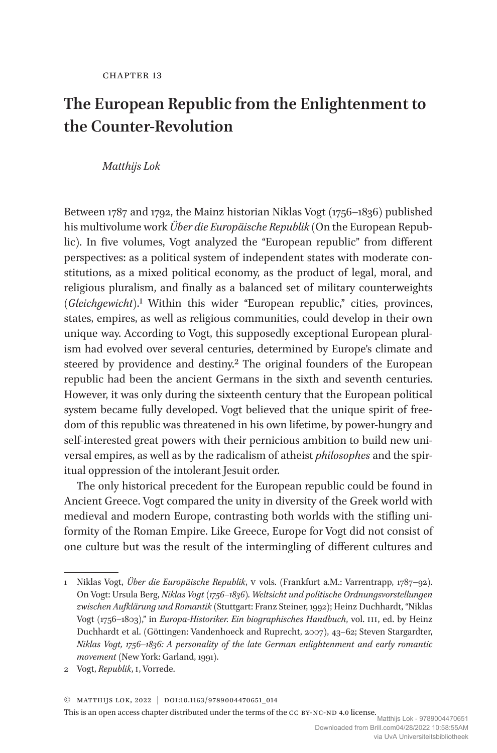## **The European Republic from the Enlightenment to the Counter-Revolution**

#### *Matthijs Lok*

Between 1787 and 1792, the Mainz historian Niklas Vogt (1756–1836) published his multivolume work *Über die Europäische Republik* (On the European Republic). In five volumes, Vogt analyzed the "European republic" from different perspectives: as a political system of independent states with moderate constitutions, as a mixed political economy, as the product of legal, moral, and religious pluralism, and finally as a balanced set of military counterweights (*Gleichgewicht*).1 Within this wider "European republic," cities, provinces, states, empires, as well as religious communities, could develop in their own unique way. According to Vogt, this supposedly exceptional European pluralism had evolved over several centuries, determined by Europe's climate and steered by providence and destiny.<sup>2</sup> The original founders of the European republic had been the ancient Germans in the sixth and seventh centuries. However, it was only during the sixteenth century that the European political system became fully developed. Vogt believed that the unique spirit of freedom of this republic was threatened in his own lifetime, by power-hungry and self-interested great powers with their pernicious ambition to build new universal empires, as well as by the radicalism of atheist *philosophes* and the spiritual oppression of the intolerant Jesuit order.

The only historical precedent for the European republic could be found in Ancient Greece. Vogt compared the unity in diversity of the Greek world with medieval and modern Europe, contrasting both worlds with the stifling uniformity of the Roman Empire. Like Greece, Europe for Vogt did not consist of one culture but was the result of the intermingling of different cultures and

© Matthijs Lok, 2022 | doi:10.1163/9789004470651\_014

This is an open access chapter distributed under the terms of the CC BY-NC-ND 4.0 license. Matthijs Lok - 9789004470651

<sup>1</sup> Niklas Vogt, *Über die Europäische Republik*, V vols. (Frankfurt a.M.: Varrentrapp, 1787–92). On Vogt: Ursula Berg, *Niklas Vogt (1756–1836). Weltsicht und politische Ordnungsvorstellungen zwischen Aufklärung und Romantik* (Stuttgart: Franz Steiner, 1992); Heinz Duchhardt, "Niklas Vogt (1756–1803)," in *Europa-Historiker. Ein biographisches Handbuch*, vol. III, ed. by Heinz Duchhardt et al. (Göttingen: Vandenhoeck and Ruprecht, 2007), 43–62; Steven Stargardter, *Niklas Vogt, 1756*–*1836: A personality of the late German enlightenment and early romantic movement* (New York: Garland, 1991).

<sup>2</sup> Vogt, *Republik*, I, Vorrede.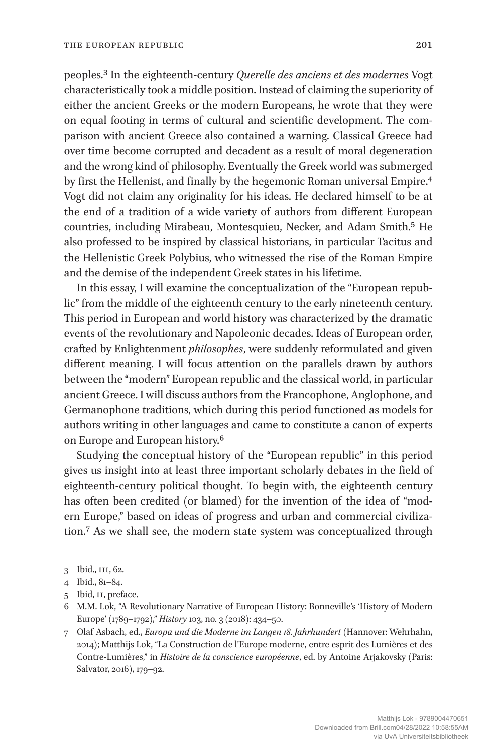peoples.3 In the eighteenth-century *Querelle des anciens et des modernes* Vogt characteristically took a middle position. Instead of claiming the superiority of either the ancient Greeks or the modern Europeans, he wrote that they were on equal footing in terms of cultural and scientific development. The comparison with ancient Greece also contained a warning. Classical Greece had over time become corrupted and decadent as a result of moral degeneration and the wrong kind of philosophy. Eventually the Greek world was submerged by first the Hellenist, and finally by the hegemonic Roman universal Empire.4 Vogt did not claim any originality for his ideas. He declared himself to be at the end of a tradition of a wide variety of authors from different European countries, including Mirabeau, Montesquieu, Necker, and Adam Smith.5 He also professed to be inspired by classical historians, in particular Tacitus and the Hellenistic Greek Polybius, who witnessed the rise of the Roman Empire and the demise of the independent Greek states in his lifetime.

In this essay, I will examine the conceptualization of the "European republic" from the middle of the eighteenth century to the early nineteenth century. This period in European and world history was characterized by the dramatic events of the revolutionary and Napoleonic decades. Ideas of European order, crafted by Enlightenment *philosophes*, were suddenly reformulated and given different meaning. I will focus attention on the parallels drawn by authors between the "modern" European republic and the classical world, in particular ancient Greece. I will discuss authors from the Francophone, Anglophone, and Germanophone traditions, which during this period functioned as models for authors writing in other languages and came to constitute a canon of experts on Europe and European history.<sup>6</sup>

Studying the conceptual history of the "European republic" in this period gives us insight into at least three important scholarly debates in the field of eighteenth-century political thought. To begin with, the eighteenth century has often been credited (or blamed) for the invention of the idea of "modern Europe," based on ideas of progress and urban and commercial civilization.7 As we shall see, the modern state system was conceptualized through

<sup>3</sup> Ibid., III, 62.

<sup>4</sup> Ibid., 81–84.

<sup>5</sup> Ibid, II, preface.

<sup>6</sup> M.M. Lok, "A Revolutionary Narrative of European History: Bonneville's 'History of Modern Europe' (1789–1792)," *History* 103, no. 3 (2018): 434–50.

<sup>7</sup> Olaf Asbach, ed., *Europa und die Moderne im Langen 18. Jahrhundert* (Hannover: Wehrhahn, 2014); Matthijs Lok, "La Construction de l'Europe moderne, entre esprit des Lumières et des Contre-Lumières," in *Histoire de la conscience européenne*, ed. by Antoine Arjakovsky (Paris: Salvator, 2016), 179–92.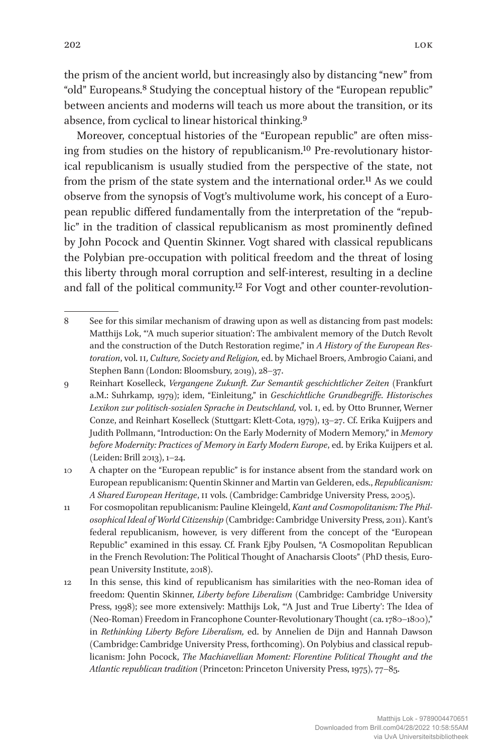the prism of the ancient world, but increasingly also by distancing "new" from "old" Europeans.8 Studying the conceptual history of the "European republic" between ancients and moderns will teach us more about the transition, or its absence, from cyclical to linear historical thinking.9

Moreover, conceptual histories of the "European republic" are often missing from studies on the history of republicanism.10 Pre-revolutionary historical republicanism is usually studied from the perspective of the state, not from the prism of the state system and the international order.11 As we could observe from the synopsis of Vogt's multivolume work, his concept of a European republic differed fundamentally from the interpretation of the "republic" in the tradition of classical republicanism as most prominently defined by John Pocock and Quentin Skinner. Vogt shared with classical republicans the Polybian pre-occupation with political freedom and the threat of losing this liberty through moral corruption and self-interest, resulting in a decline and fall of the political community.<sup>12</sup> For Vogt and other counter-revolution-

<sup>8</sup> See for this similar mechanism of drawing upon as well as distancing from past models: Matthijs Lok, "'A much superior situation': The ambivalent memory of the Dutch Revolt and the construction of the Dutch Restoration regime," in *A History of the European Restoration*, vol. II*, Culture, Society and Religion,* ed. by Michael Broers, Ambrogio Caiani, and Stephen Bann (London: Bloomsbury, 2019), 28–37.

<sup>9</sup> Reinhart Koselleck, *Vergangene Zukunft. Zur Semantik geschichtlicher Zeiten* (Frankfurt a.M.: Suhrkamp, 1979); idem, "Einleitung," in *Geschichtliche Grundbegriffe. Historisches Lexikon zur politisch-sozialen Sprache in Deutschland,* vol. I, ed. by Otto Brunner, Werner Conze, and Reinhart Koselleck (Stuttgart: Klett-Cota, 1979), 13–27. Cf. Erika Kuijpers and Judith Pollmann, "Introduction: On the Early Modernity of Modern Memory," in *Memory before Modernity: Practices of Memory in Early Modern Europe*, ed. by Erika Kuijpers et al. (Leiden: Brill 2013), 1–24.

<sup>10</sup> A chapter on the "European republic" is for instance absent from the standard work on European republicanism: Quentin Skinner and Martin van Gelderen, eds., *Republicanism: A Shared European Heritage*, II vols. (Cambridge: Cambridge University Press, 2005).

<sup>11</sup> For cosmopolitan republicanism: Pauline Kleingeld, *Kant and Cosmopolitanism: The Philosophical Ideal of World Citizenship* (Cambridge: Cambridge University Press, 2011). Kant's federal republicanism, however, is very different from the concept of the "European Republic" examined in this essay. Cf. Frank Ejby [Poulsen,](https://cadmus.eui.eu/browse?type=author&value=POULSEN,%20Frank%20Ejby) "A Cosmopolitan Republican in the French Revolution: The Political Thought of Anacharsis Cloots" (PhD thesis, European University Institute, 2018).

<sup>12</sup> In this sense, this kind of republicanism has similarities with the neo-Roman idea of freedom: Quentin Skinner, *Liberty before Liberalism* (Cambridge: Cambridge University Press, 1998); see more extensively: Matthijs Lok, "'A Just and True Liberty': The Idea of (Neo-Roman) Freedom in Francophone Counter-Revolutionary Thought (ca. 1780–1800)," in *Rethinking Liberty Before Liberalism,* ed. by Annelien de Dijn and Hannah Dawson (Cambridge: Cambridge University Press, forthcoming). On Polybius and classical republicanism: John Pocock, *The Machiavellian Moment: Florentine Political Thought and the Atlantic republican tradition* (Princeton: Princeton University Press, 1975), 77–85.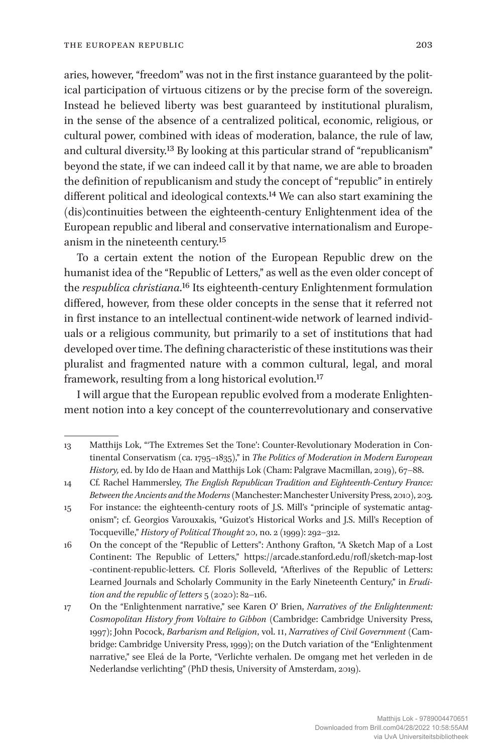aries, however, "freedom" was not in the first instance guaranteed by the political participation of virtuous citizens or by the precise form of the sovereign. Instead he believed liberty was best guaranteed by institutional pluralism, in the sense of the absence of a centralized political, economic, religious, or cultural power, combined with ideas of moderation, balance, the rule of law, and cultural diversity.13 By looking at this particular strand of "republicanism" beyond the state, if we can indeed call it by that name, we are able to broaden the definition of republicanism and study the concept of "republic" in entirely different political and ideological contexts.<sup>14</sup> We can also start examining the (dis)continuities between the eighteenth-century Enlightenment idea of the European republic and liberal and conservative internationalism and Europeanism in the nineteenth century.15

To a certain extent the notion of the European Republic drew on the humanist idea of the "Republic of Letters," as well as the even older concept of the *respublica christiana*.16 Its eighteenth-century Enlightenment formulation differed, however, from these older concepts in the sense that it referred not in first instance to an intellectual continent-wide network of learned individuals or a religious community, but primarily to a set of institutions that had developed over time. The defining characteristic of these institutions was their pluralist and fragmented nature with a common cultural, legal, and moral framework, resulting from a long historical evolution.17

I will argue that the European republic evolved from a moderate Enlightenment notion into a key concept of the counterrevolutionary and conservative

<sup>13</sup> Matthijs Lok, "'The Extremes Set the Tone': Counter-Revolutionary Moderation in Continental Conservatism (ca. 1795–1835)," in *The Politics of Moderation in Modern European History,* ed. by Ido de Haan and Matthijs Lok (Cham: Palgrave Macmillan, 2019), 67–88.

<sup>14</sup> Cf. Rachel Hammersley, *The English Republican Tradition and Eighteenth-Century France: Between the Ancients and the Moderns* (Manchester: Manchester University Press, 2010), 203.

<sup>15</sup> For instance: the eighteenth-century roots of J.S. Mill's "principle of systematic antagonism"; cf. Georgios Varouxakis, "Guizot's Historical Works and J.S. Mill's Reception of Tocqueville," *History of Political Thought* 20, no. 2 (1999): 292–312.

<sup>16</sup> On the concept of the "Republic of Letters": Anthony Grafton, "A Sketch Map of a Lost Continent: The Republic of Letters," [https://arcade.stanford.edu/rofl/sketch-map-lost](https://arcade.stanford.edu/rofl/sketch-map-lost-continent-republic-letters) [-continent-republic-letters.](https://arcade.stanford.edu/rofl/sketch-map-lost-continent-republic-letters) Cf. Floris Solleveld, "Afterlives of the Republic of Letters: Learned Journals and Scholarly Community in the Early Nineteenth Century," in *Erudition and the republic of letters* 5 (2020): 82–116.

<sup>17</sup> On the "Enlightenment narrative," see Karen O' Brien, *Narratives of the Enlightenment: Cosmopolitan History from Voltaire to Gibbon* (Cambridge: Cambridge University Press, 1997); John Pocock, *Barbarism and Religion*, vol. II, *Narratives of Civil Government* (Cambridge: Cambridge University Press, 1999); on the Dutch variation of the "Enlightenment narrative," see Eleá de la Porte, "Verlichte verhalen. De omgang met het verleden in de Nederlandse verlichting" (PhD thesis, University of Amsterdam, 2019).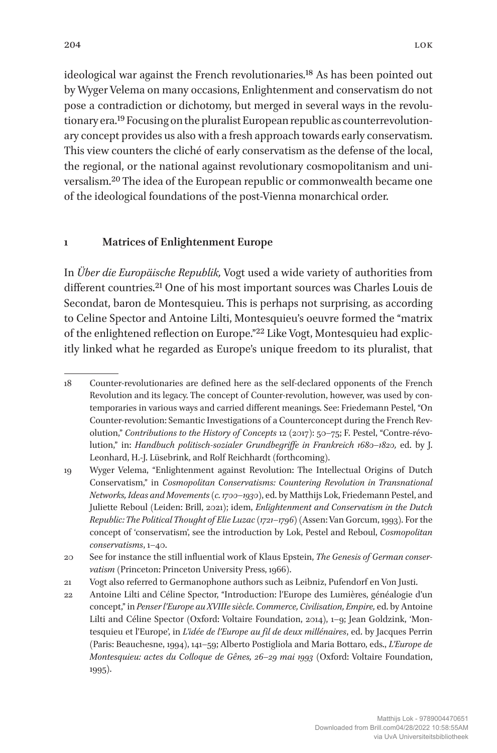ideological war against the French revolutionaries.18 As has been pointed out by Wyger Velema on many occasions, Enlightenment and conservatism do not pose a contradiction or dichotomy, but merged in several ways in the revolutionary era.19 Focusing on the pluralist European republic as counterrevolutionary concept provides us also with a fresh approach towards early conservatism. This view counters the cliché of early conservatism as the defense of the local, the regional, or the national against revolutionary cosmopolitanism and universalism.20 The idea of the European republic or commonwealth became one of the ideological foundations of the post-Vienna monarchical order.

### **1 Matrices of Enlightenment Europe**

In *Über die Europäische Republik,* Vogt used a wide variety of authorities from different countries.<sup>21</sup> One of his most important sources was Charles Louis de Secondat, baron de Montesquieu. This is perhaps not surprising, as according to Celine Spector and Antoine Lilti, Montesquieu's oeuvre formed the "matrix of the enlightened reflection on Europe."22 Like Vogt, Montesquieu had explicitly linked what he regarded as Europe's unique freedom to its pluralist, that

<sup>18</sup> Counter-revolutionaries are defined here as the self-declared opponents of the French Revolution and its legacy. The concept of Counter-revolution, however, was used by contemporaries in various ways and carried different meanings. See: Friedemann Pestel, "On Counter-revolution: Semantic Investigations of a Counterconcept during the French Revolution," *Contributions to the History of Concepts* 12 (2017): 50-75; F. Pestel, "Contre-révolution," in: *Handbuch politisch-sozialer Grundbegriffe in Frankreich 1680*–*1820,* ed. by J. Leonhard, H.-J. Lüsebrink, and Rolf Reichhardt (forthcoming).

<sup>19</sup> Wyger Velema, "Enlightenment against Revolution: The Intellectual Origins of Dutch Conservatism," in *Cosmopolitan Conservatisms: Countering Revolution in Transnational Networks, Ideas and Movements (c. 1700*–*1930)*, ed. by Matthijs Lok, Friedemann Pestel, and Juliette Reboul (Leiden: Brill, 2021); idem, *Enlightenment and Conservatism in the Dutch Republic: The Political Thought of Elie Luzac (1721*–*1796)* (Assen: Van Gorcum, 1993). For the concept of 'conservatism', see the introduction by Lok, Pestel and Reboul, *Cosmopolitan conservatisms*, 1–40.

<sup>20</sup> See for instance the still influential work of Klaus Epstein, *The Genesis of German conservatism* (Princeton: Princeton University Press, 1966).

<sup>21</sup> Vogt also referred to Germanophone authors such as Leibniz, Pufendorf en Von Justi.

<sup>22</sup> Antoine Lilti and Céline Spector, "Introduction: l'Europe des Lumières, généalogie d'un concept," in *Penser l'Europe au XVIIIe siècle. Commerce, Civilisation, Empire,* ed. by Antoine Lilti and Céline Spector (Oxford: Voltaire Foundation, 2014), 1–9; Jean Goldzink, 'Montesquieu et l'Europe', in *L'idée de l'Europe au fil de deux millénaires*, ed. by Jacques Perrin (Paris: Beauchesne, 1994), 141–59; Alberto Postigliola and Maria Bottaro, eds., *L'Europe de Montesquieu: actes du Colloque de Gênes, 26*–*29 mai 1993* (Oxford: Voltaire Foundation, 1995).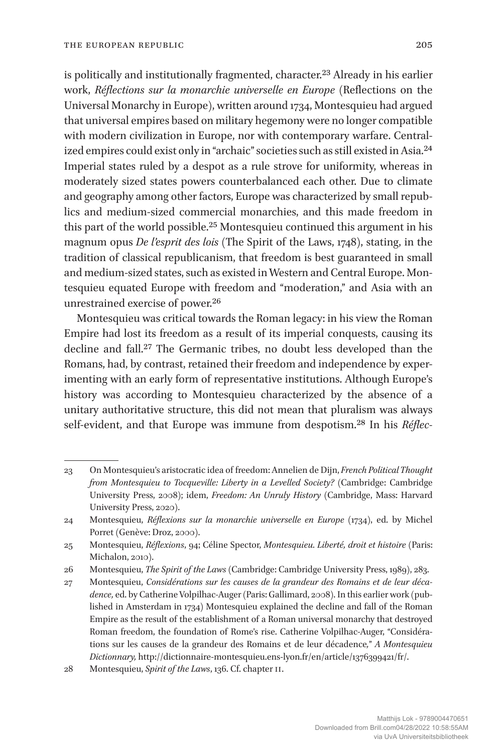is politically and institutionally fragmented, character.<sup>23</sup> Already in his earlier work, *Réflections sur la monarchie universelle en Europe* (Reflections on the Universal Monarchy in Europe), written around 1734, Montesquieu had argued that universal empires based on military hegemony were no longer compatible with modern civilization in Europe, nor with contemporary warfare. Centralized empires could exist only in "archaic" societies such as still existed in Asia.24 Imperial states ruled by a despot as a rule strove for uniformity, whereas in moderately sized states powers counterbalanced each other. Due to climate and geography among other factors, Europe was characterized by small republics and medium-sized commercial monarchies, and this made freedom in this part of the world possible.25 Montesquieu continued this argument in his magnum opus *De l'esprit des lois* (The Spirit of the Laws, 1748), stating, in the tradition of classical republicanism, that freedom is best guaranteed in small and medium-sized states, such as existed in Western and Central Europe. Montesquieu equated Europe with freedom and "moderation," and Asia with an unrestrained exercise of power.26

Montesquieu was critical towards the Roman legacy: in his view the Roman Empire had lost its freedom as a result of its imperial conquests, causing its decline and fall.27 The Germanic tribes, no doubt less developed than the Romans, had, by contrast, retained their freedom and independence by experimenting with an early form of representative institutions. Although Europe's history was according to Montesquieu characterized by the absence of a unitary authoritative structure, this did not mean that pluralism was always self-evident, and that Europe was immune from despotism.28 In his *Réflec-*

<sup>23</sup> On Montesquieu's aristocratic idea of freedom: Annelien de Dijn, *French Political Thought from Montesquieu to Tocqueville: Liberty in a Levelled Society?* (Cambridge: Cambridge University Press, 2008); idem, *Freedom: An Unruly History* (Cambridge, Mass: Harvard University Press, 2020).

<sup>24</sup> Montesquieu, *Réflexions sur la monarchie universelle en Europe* (1734), ed. by Michel Porret (Genève: Droz, 2000).

<sup>25</sup> Montesquieu, *Réflexions*, 94; Céline Spector, *Montesquieu. Liberté, droit et histoire* (Paris: Michalon, 2010).

<sup>26</sup> Montesquieu, *The Spirit of the Laws* (Cambridge: Cambridge University Press, 1989), 283.

<sup>27</sup> Montesquieu, *Considérations sur les causes de la grandeur des Romains et de leur décadence,* ed. by Catherine Volpilhac-Auger (Paris: Gallimard, 2008). In this earlier work (published in Amsterdam in 1734) Montesquieu explained the decline and fall of the Roman Empire as the result of the establishment of a Roman universal monarchy that destroyed Roman freedom, the foundation of Rome's rise. Catherine Volpilhac-Auger, "Considérations sur les causes de la grandeur des Romains et de leur décadence*,*" *A Montesquieu Dictionnary,* [http://dictionnaire-montesquieu.ens-lyon.fr/en/article/1376399421/fr/.](http://dictionnaire-montesquieu.ens-lyon.fr/en/article/1376399421/fr/)

<sup>28</sup> Montesquieu, *Spirit of the Laws*, 136. Cf. chapter II.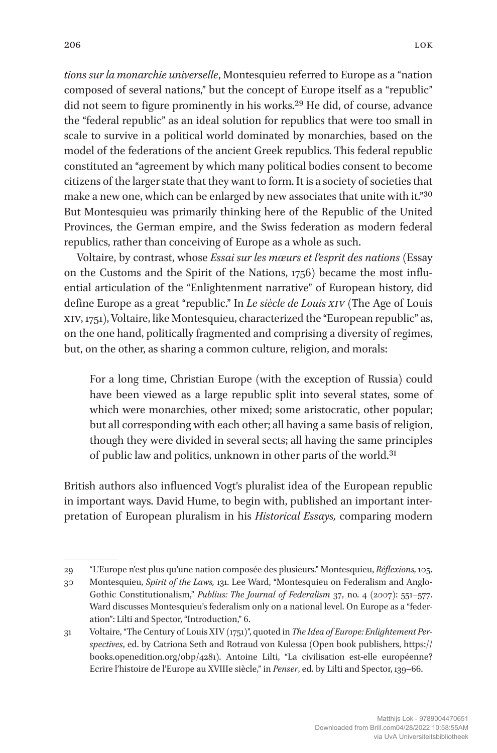*tions sur la monarchie universelle*, Montesquieu referred to Europe as a "nation composed of several nations," but the concept of Europe itself as a "republic" did not seem to figure prominently in his works.29 He did, of course, advance the "federal republic" as an ideal solution for republics that were too small in scale to survive in a political world dominated by monarchies, based on the model of the federations of the ancient Greek republics. This federal republic constituted an "agreement by which many political bodies consent to become citizens of the larger state that they want to form. It is a society of societies that make a new one, which can be enlarged by new associates that unite with it."30 But Montesquieu was primarily thinking here of the Republic of the United Provinces, the German empire, and the Swiss federation as modern federal republics, rather than conceiving of Europe as a whole as such.

Voltaire, by contrast, whose *Essai sur les mœurs et l'esprit des nations* ([Essay](https://en.wikipedia.org/wiki/Essai_sur_les_m%C5%93urs_et_l%27esprit_des_nations)  [on the Customs and the Spirit of the Nations](https://en.wikipedia.org/wiki/Essai_sur_les_m%C5%93urs_et_l%27esprit_des_nations), 1756) became the most influential articulation of the "Enlightenment narrative" of European history, did define Europe as a great "republic." In *Le siècle de Louis XIV* (The Age of Louis XIV, 1751), Voltaire, like Montesquieu, characterized the "European republic" as, on the one hand, politically fragmented and comprising a diversity of regimes, but, on the other, as sharing a common culture, religion, and morals:

For a long time, Christian Europe (with the exception of Russia) could have been viewed as a large republic split into several states, some of which were monarchies, other mixed; some aristocratic, other popular; but all corresponding with each other; all having a same basis of religion, though they were divided in several sects; all having the same principles of public law and politics, unknown in other parts of the world.31

British authors also influenced Vogt's pluralist idea of the European republic in important ways. David Hume, to begin with, published an important interpretation of European pluralism in his *Historical Essays,* comparing modern

<sup>29</sup> "L'Europe n'est plus qu'une nation composée des plusieurs." Montesquieu, *Réflexions,* 105.

<sup>30</sup> Montesquieu, *Spirit of the Laws,* 131. Lee Ward, "[Montesquieu on Federalism and Anglo-](https://rug.on.worldcat.org/detailed-record/4659873591?databaseList=638&scope=wz:6544)[Gothic Constitutionalism,](https://rug.on.worldcat.org/detailed-record/4659873591?databaseList=638&scope=wz:6544)" *Publius: The Journal of Federalism* 37, no. 4 (2007): 551–577. Ward discusses Montesquieu's federalism only on a national level. On Europe as a "federation": Lilti and Spector, "Introduction," 6.

<sup>31</sup> Voltaire, "The Century of Louis XIV (1751)", quoted in *The Idea of Europe: Enlightement Perspectives*, ed. by Catriona Seth and Rotraud von Kulessa (Open book publishers, [https://](https://books.openedition.org/obp/4281) [books.openedition.org/obp/4281\)](https://books.openedition.org/obp/4281). Antoine Lilti, "La civilisation est-elle européenne? Ecrire l'histoire de l'Europe au XVIIIe siècle," in *Penser*, ed. by Lilti and Spector, 139–66.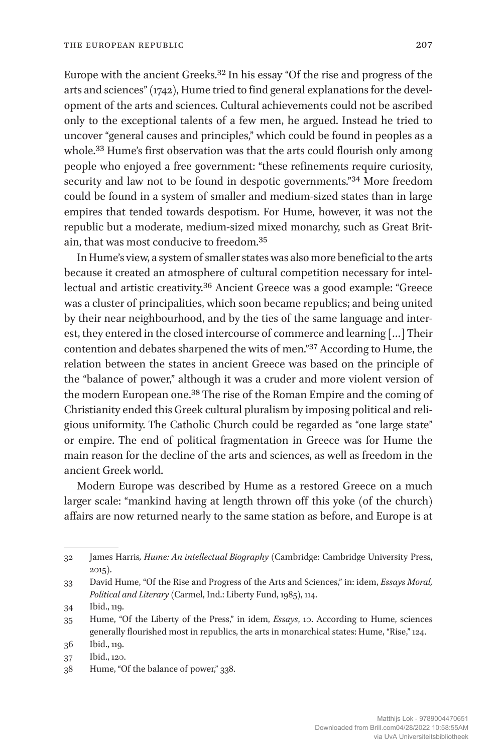Europe with the ancient Greeks.32 In his essay "Of the rise and progress of the arts and sciences" (1742), Hume tried to find general explanations for the development of the arts and sciences. Cultural achievements could not be ascribed only to the exceptional talents of a few men, he argued. Instead he tried to uncover "general causes and principles," which could be found in peoples as a whole.<sup>33</sup> Hume's first observation was that the arts could flourish only among people who enjoyed a free government: "these refinements require curiosity, security and law not to be found in despotic governments."34 More freedom could be found in a system of smaller and medium-sized states than in large empires that tended towards despotism. For Hume, however, it was not the republic but a moderate, medium-sized mixed monarchy, such as Great Britain, that was most conducive to freedom.35

In Hume's view, a system of smaller states was also more beneficial to the arts because it created an atmosphere of cultural competition necessary for intellectual and artistic creativity.36 Ancient Greece was a good example: "Greece was a cluster of principalities, which soon became republics; and being united by their near neighbourhood, and by the ties of the same language and interest, they entered in the closed intercourse of commerce and learning […] Their contention and debates sharpened the wits of men."37 According to Hume, the relation between the states in ancient Greece was based on the principle of the "balance of power," although it was a cruder and more violent version of the modern European one.38 The rise of the Roman Empire and the coming of Christianity ended this Greek cultural pluralism by imposing political and religious uniformity. The Catholic Church could be regarded as "one large state" or empire. The end of political fragmentation in Greece was for Hume the main reason for the decline of the arts and sciences, as well as freedom in the ancient Greek world.

Modern Europe was described by Hume as a restored Greece on a much larger scale: "mankind having at length thrown off this yoke (of the church) affairs are now returned nearly to the same station as before, and Europe is at

<sup>32</sup> James Harris*, Hume: An intellectual Biography* (Cambridge: Cambridge University Press, 2015).

<sup>33</sup> David Hume, "Of the Rise and Progress of the Arts and Sciences," in: idem, *Essays Moral, Political and Literary* (Carmel, Ind.: Liberty Fund, 1985), 114.

<sup>34</sup> Ibid., 119.

<sup>35</sup> Hume, "Of the Liberty of the Press," in idem, *Essays*, 10. According to Hume, sciences generally flourished most in republics, the arts in monarchical states: Hume, "Rise," 124.

<sup>36</sup> Ibid., 119.

<sup>37</sup> Ibid., 120.

<sup>38</sup> Hume, "Of the balance of power," 338.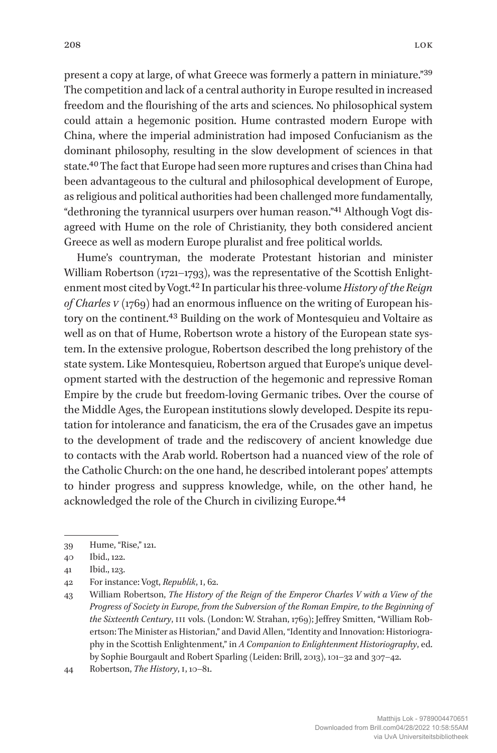present a copy at large, of what Greece was formerly a pattern in miniature."39 The competition and lack of a central authority in Europe resulted in increased freedom and the flourishing of the arts and sciences. No philosophical system could attain a hegemonic position. Hume contrasted modern Europe with China, where the imperial administration had imposed Confucianism as the dominant philosophy, resulting in the slow development of sciences in that state.40 The fact that Europe had seen more ruptures and crises than China had been advantageous to the cultural and philosophical development of Europe, as religious and political authorities had been challenged more fundamentally, "dethroning the tyrannical usurpers over human reason."41 Although Vogt disagreed with Hume on the role of Christianity, they both considered ancient Greece as well as modern Europe pluralist and free political worlds.

Hume's countryman, the moderate Protestant historian and minister William Robertson (1721–1793), was the representative of the Scottish Enlightenment most cited by Vogt.42 In particular his three-volume *History of the Reign of Charles V* (1769) had an enormous influence on the writing of European history on the continent.<sup>43</sup> Building on the work of Montesquieu and Voltaire as well as on that of Hume, Robertson wrote a history of the European state system. In the extensive prologue, Robertson described the long prehistory of the state system. Like Montesquieu, Robertson argued that Europe's unique development started with the destruction of the hegemonic and repressive Roman Empire by the crude but freedom-loving Germanic tribes. Over the course of the Middle Ages, the European institutions slowly developed. Despite its reputation for intolerance and fanaticism, the era of the Crusades gave an impetus to the development of trade and the rediscovery of ancient knowledge due to contacts with the Arab world. Robertson had a nuanced view of the role of the Catholic Church: on the one hand, he described intolerant popes' attempts to hinder progress and suppress knowledge, while, on the other hand, he acknowledged the role of the Church in civilizing Europe.44

<sup>39</sup> Hume, "Rise," 121.

<sup>40</sup> Ibid., 122.

<sup>41</sup> Ibid., 123.

<sup>42</sup> For instance: Vogt, *Republik*, I, 62.

<sup>43</sup> William Robertson, *The History of the Reign of the Emperor Charles V with a View of the Progress of Society in Europe, from the Subversion of the Roman Empire, to the Beginning of the Sixteenth Century*, III vols. (London: W. Strahan, 1769); Jeffrey Smitten, "William Robertson: The Minister as Historian," and David Allen, "Identity and Innovation: Historiography in the Scottish Enlightenment," in *A Companion to Enlightenment Historiography*, ed. by Sophie Bourgault and Robert Sparling (Leiden: Brill, 2013), 101–32 and 307–42.

<sup>44</sup> Robertson, *The History*, I, 10–81.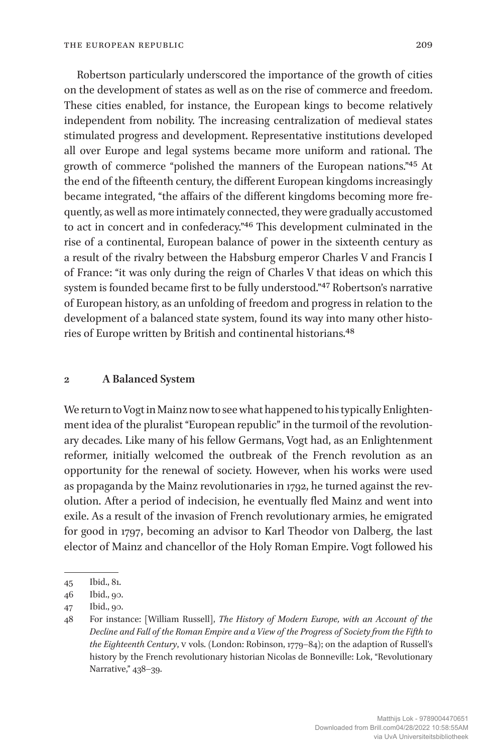Robertson particularly underscored the importance of the growth of cities on the development of states as well as on the rise of commerce and freedom. These cities enabled, for instance, the European kings to become relatively independent from nobility. The increasing centralization of medieval states stimulated progress and development. Representative institutions developed all over Europe and legal systems became more uniform and rational. The growth of commerce "polished the manners of the European nations."45 At the end of the fifteenth century, the different European kingdoms increasingly became integrated, "the affairs of the different kingdoms becoming more frequently, as well as more intimately connected, they were gradually accustomed to act in concert and in confederacy."46 This development culminated in the rise of a continental, European balance of power in the sixteenth century as a result of the rivalry between the Habsburg emperor Charles V and Francis I of France: "it was only during the reign of Charles V that ideas on which this system is founded became first to be fully understood."47 Robertson's narrative of European history, as an unfolding of freedom and progress in relation to the development of a balanced state system, found its way into many other histories of Europe written by British and continental historians.48

#### **2 A Balanced System**

We return to Vogt in Mainz now to see what happened to his typically Enlightenment idea of the pluralist "European republic" in the turmoil of the revolutionary decades. Like many of his fellow Germans, Vogt had, as an Enlightenment reformer, initially welcomed the outbreak of the French revolution as an opportunity for the renewal of society. However, when his works were used as propaganda by the Mainz revolutionaries in 1792, he turned against the revolution. After a period of indecision, he eventually fled Mainz and went into exile. As a result of the invasion of French revolutionary armies, he emigrated for good in 1797, becoming an advisor to Karl Theodor von Dalberg, the last elector of Mainz and chancellor of the Holy Roman Empire. Vogt followed his

<sup>45</sup> Ibid., 81.

<sup>46</sup> Ibid., 90.

<sup>47</sup> Ibid., 90.

<sup>48</sup> For instance: [William Russell], *The History of Modern Europe, with an Account of the Decline and Fall of the Roman Empire and a View of the Progress of Society from the Fifth to the Eighteenth Century*, V vols. (London: Robinson, 1779–84); on the adaption of Russell's history by the French revolutionary historian Nicolas de Bonneville: Lok, "Revolutionary Narrative," 438–39.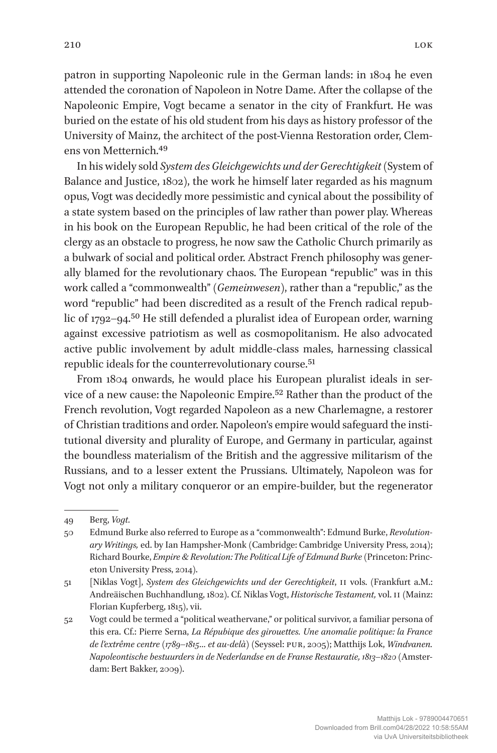patron in supporting Napoleonic rule in the German lands: in 1804 he even

attended the coronation of Napoleon in Notre Dame. After the collapse of the Napoleonic Empire, Vogt became a senator in the city of Frankfurt. He was buried on the estate of his old student from his days as history professor of the University of Mainz, the architect of the post-Vienna Restoration order, Clemens von Metternich.49

In his widely sold *System des Gleichgewichts und der Gerechtigkeit* (System of Balance and Justice, 1802), the work he himself later regarded as his magnum opus, Vogt was decidedly more pessimistic and cynical about the possibility of a state system based on the principles of law rather than power play. Whereas in his book on the European Republic, he had been critical of the role of the clergy as an obstacle to progress, he now saw the Catholic Church primarily as a bulwark of social and political order. Abstract French philosophy was generally blamed for the revolutionary chaos. The European "republic" was in this work called a "commonwealth" (*Gemeinwesen*), rather than a "republic," as the word "republic" had been discredited as a result of the French radical republic of 1792–94.<sup>50</sup> He still defended a pluralist idea of European order, warning against excessive patriotism as well as cosmopolitanism. He also advocated active public involvement by adult middle-class males, harnessing classical republic ideals for the counterrevolutionary course.<sup>51</sup>

From 1804 onwards, he would place his European pluralist ideals in service of a new cause: the Napoleonic Empire.52 Rather than the product of the French revolution, Vogt regarded Napoleon as a new Charlemagne, a restorer of Christian traditions and order. Napoleon's empire would safeguard the institutional diversity and plurality of Europe, and Germany in particular, against the boundless materialism of the British and the aggressive militarism of the Russians, and to a lesser extent the Prussians. Ultimately, Napoleon was for Vogt not only a military conqueror or an empire-builder, but the regenerator

<sup>49</sup> Berg, *Vogt.*

<sup>50</sup> Edmund Burke also referred to Europe as a "commonwealth": Edmund Burke, *Revolutionary Writings,* ed. by Ian Hampsher-Monk (Cambridge: Cambridge University Press, 2014); Richard Bourke, *Empire & Revolution: The Political Life of Edmund Burke* (Princeton: Princeton University Press, 2014).

<sup>51</sup> [Niklas Vogt], *System des Gleichgewichts und der Gerechtigkeit*, II vols. (Frankfurt a.M.: Andreäischen Buchhandlung, 1802). Cf. Niklas Vogt, *Historische Testament,* vol. II (Mainz: Florian Kupferberg, 1815), vii.

<sup>52</sup> Vogt could be termed a "political weathervane," or political survivor, a familiar persona of this era. Cf.: Pierre Serna, *La Répubique des girouettes. Une anomalie politique: la France de l'extrême centre (1789*–*1815… et au-delà)* (Seyssel: PUR, 2005); Matthijs Lok, *Windvanen. Napoleontische bestuurders in de Nederlandse en de Franse Restauratie, 1813*–*1820* (Amsterdam: Bert Bakker, 2009).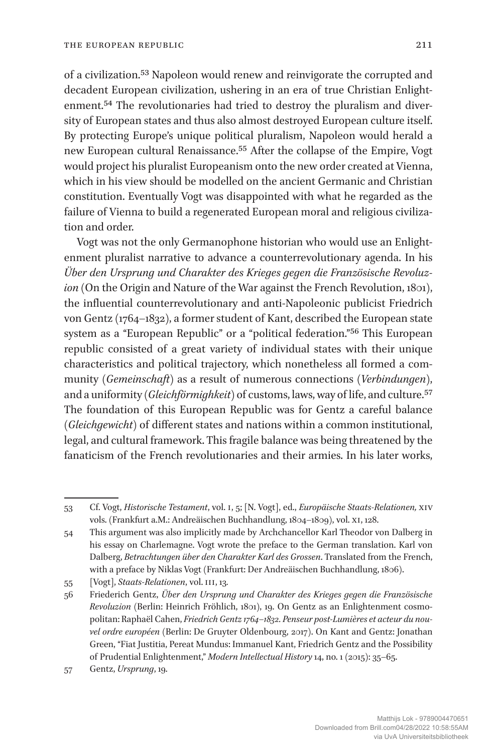of a civilization.53 Napoleon would renew and reinvigorate the corrupted and decadent European civilization, ushering in an era of true Christian Enlightenment.54 The revolutionaries had tried to destroy the pluralism and diversity of European states and thus also almost destroyed European culture itself. By protecting Europe's unique political pluralism, Napoleon would herald a new European cultural Renaissance.55 After the collapse of the Empire, Vogt would project his pluralist Europeanism onto the new order created at Vienna, which in his view should be modelled on the ancient Germanic and Christian constitution. Eventually Vogt was disappointed with what he regarded as the failure of Vienna to build a regenerated European moral and religious civilization and order.

Vogt was not the only Germanophone historian who would use an Enlightenment pluralist narrative to advance a counterrevolutionary agenda. In his *Über den Ursprung und Charakter des Krieges gegen die Französische Revoluz*ion (On the Origin and Nature of the War against the French Revolution, 1801), the influential counterrevolutionary and anti-Napoleonic publicist Friedrich von Gentz (1764–1832), a former student of Kant, described the European state system as a "European Republic" or a "political federation."56 This European republic consisted of a great variety of individual states with their unique characteristics and political trajectory, which nonetheless all formed a community (*Gemeinschaft*) as a result of numerous connections (*Verbindungen*), and a uniformity (*Gleichförmighkeit*) of customs, laws, way of life, and culture.57 The foundation of this European Republic was for Gentz a careful balance (*Gleichgewicht*) of different states and nations within a common institutional, legal, and cultural framework. This fragile balance was being threatened by the fanaticism of the French revolutionaries and their armies. In his later works,

55 [Vogt], *Staats-Relationen*, vol. III, 13*.*

<sup>53</sup> Cf. Vogt, *Historische Testament*, vol. I, 5; [N. Vogt], ed., *Europäische Staats-Relationen,* XIV vols. (Frankfurt a.M.: Andreäischen Buchhandlung, 1804–1809), vol. XI, 128.

<sup>54</sup> This argument was also implicitly made by Archchancellor Karl Theodor von Dalberg in his essay on Charlemagne. Vogt wrote the preface to the German translation. Karl von Dalberg, *Betrachtungen über den Charakter Karl des Grossen*. Translated from the French, with a preface by Niklas Vogt (Frankfurt: Der Andreäischen Buchhandlung, 1806).

<sup>56</sup> Friederich Gentz, *Über den Ursprung und Charakter des Krieges gegen die Französische Revoluzion* (Berlin: Heinrich Fröhlich, 1801), 19. On Gentz as an Enlightenment cosmopolitan: Raphaël Cahen, *Friedrich Gentz 1764–1832. Penseur post-Lumières et acteur du nouvel ordre européen* (Berlin: De Gruyter Oldenbourg, 2017). On Kant and Gentz: Jonathan Green, "Fiat Justitia, Pereat Mundus: Immanuel Kant, Friedrich Gentz and the Possibility of Prudential Enlightenment," *Modern Intellectual History* 14, no. 1 (2015): 35–65.

<sup>57</sup> Gentz, *Ursprung*, 19.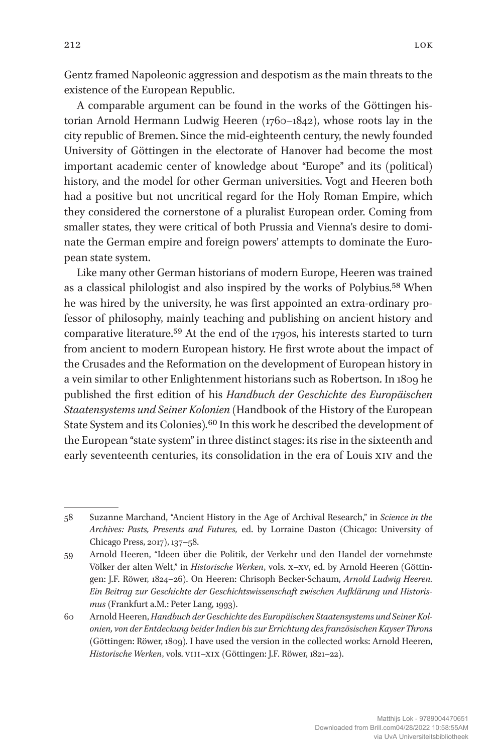Gentz framed Napoleonic aggression and despotism as the main threats to the existence of the European Republic.

A comparable argument can be found in the works of the Göttingen historian Arnold Hermann Ludwig Heeren (1760–1842), whose roots lay in the city republic of Bremen. Since the mid-eighteenth century, the newly founded University of Göttingen in the electorate of Hanover had become the most important academic center of knowledge about "Europe" and its (political) history, and the model for other German universities. Vogt and Heeren both had a positive but not uncritical regard for the Holy Roman Empire, which they considered the cornerstone of a pluralist European order. Coming from smaller states, they were critical of both Prussia and Vienna's desire to dominate the German empire and foreign powers' attempts to dominate the European state system.

Like many other German historians of modern Europe, Heeren was trained as a classical philologist and also inspired by the works of Polybius.<sup>58</sup> When he was hired by the university, he was first appointed an extra-ordinary professor of philosophy, mainly teaching and publishing on ancient history and comparative literature.<sup>59</sup> At the end of the 1790s, his interests started to turn from ancient to modern European history. He first wrote about the impact of the Crusades and the Reformation on the development of European history in a vein similar to other Enlightenment historians such as Robertson. In 1809 he published the first edition of his *Handbuch der Geschichte des Europäischen Staatensystems und Seiner Kolonien* (Handbook of the History of the European State System and its Colonies).<sup>60</sup> In this work he described the development of the European "state system" in three distinct stages: its rise in the sixteenth and early seventeenth centuries, its consolidation in the era of Louis XIV and the

<sup>58</sup> Suzanne Marchand, "Ancient History in the Age of Archival Research," in *Science in the Archives: Pasts, Presents and Futures,* ed. by Lorraine Daston (Chicago: University of Chicago Press, 2017), 137–58.

<sup>59</sup> Arnold Heeren, "Ideen über die Politik, der Verkehr und den Handel der vornehmste Völker der alten Welt," in *Historische Werken*, vols. x-xv, ed. by Arnold Heeren (Göttingen: J.F. Röwer, 1824–26). On Heeren: Chrisoph Becker-Schaum, *Arnold Ludwig Heeren. Ein Beitrag zur Geschichte der Geschichtswissenschaft zwischen Aufklärung und Historismus* (Frankfurt a.M.: Peter Lang, 1993).

<sup>60</sup> Arnold Heeren, *Handbuch der Geschichte des Europäischen Staatensystems und Seiner Kolonien, von der Entdeckung beider Indien bis zur Errichtung des französischen Kayser Throns*  (Göttingen: Röwer, 1809)*.* I have used the version in the collected works: Arnold Heeren, *Historische Werken*, vols. VIII–XIX (Göttingen: J.F. Röwer, 1821–22).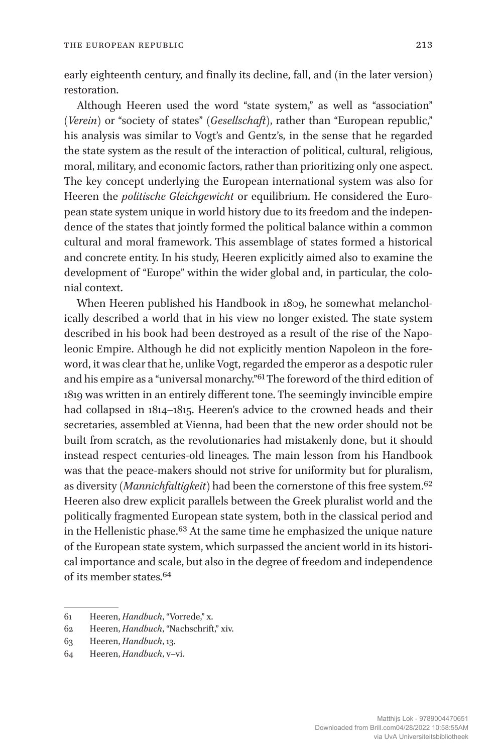early eighteenth century, and finally its decline, fall, and (in the later version) restoration.

Although Heeren used the word "state system," as well as "association" (*Verein*) or "society of states" (*Gesellschaft*), rather than "European republic," his analysis was similar to Vogt's and Gentz's, in the sense that he regarded the state system as the result of the interaction of political, cultural, religious, moral, military, and economic factors, rather than prioritizing only one aspect. The key concept underlying the European international system was also for Heeren the *politische Gleichgewicht* or equilibrium. He considered the European state system unique in world history due to its freedom and the independence of the states that jointly formed the political balance within a common cultural and moral framework. This assemblage of states formed a historical and concrete entity. In his study, Heeren explicitly aimed also to examine the development of "Europe" within the wider global and, in particular, the colonial context.

When Heeren published his Handbook in 1809, he somewhat melancholically described a world that in his view no longer existed. The state system described in his book had been destroyed as a result of the rise of the Napoleonic Empire. Although he did not explicitly mention Napoleon in the foreword, it was clear that he, unlike Vogt, regarded the emperor as a despotic ruler and his empire as a "universal monarchy."61 The foreword of the third edition of 1819 was written in an entirely different tone. The seemingly invincible empire had collapsed in 1814–1815. Heeren's advice to the crowned heads and their secretaries, assembled at Vienna, had been that the new order should not be built from scratch, as the revolutionaries had mistakenly done, but it should instead respect centuries-old lineages. The main lesson from his Handbook was that the peace-makers should not strive for uniformity but for pluralism, as diversity (*Mannichfaltigkeit*) had been the cornerstone of this free system.62 Heeren also drew explicit parallels between the Greek pluralist world and the politically fragmented European state system, both in the classical period and in the Hellenistic phase.63 At the same time he emphasized the unique nature of the European state system, which surpassed the ancient world in its historical importance and scale, but also in the degree of freedom and independence of its member states.64

<sup>61</sup> Heeren, *Handbuch*, "Vorrede," x.

<sup>62</sup> Heeren, *Handbuch*, "Nachschrift," xiv.

<sup>63</sup> Heeren, *Handbuch*, 13.

<sup>64</sup> Heeren, *Handbuch*, v–vi.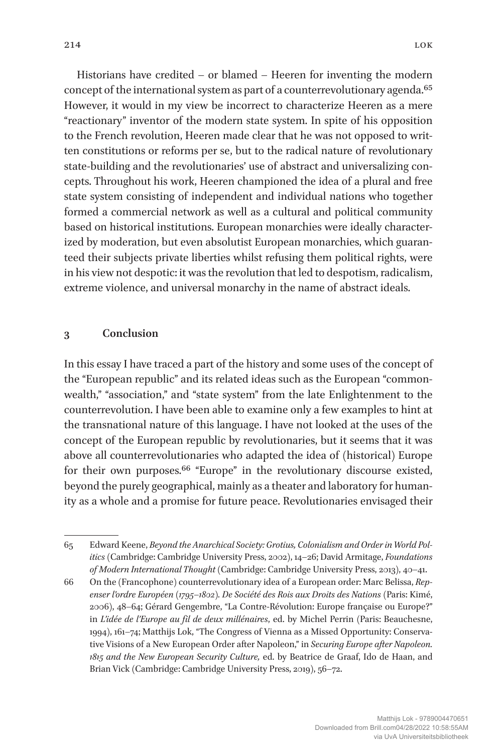Historians have credited – or blamed – Heeren for inventing the modern concept of the international system as part of a counterrevolutionary agenda.<sup>65</sup> However, it would in my view be incorrect to characterize Heeren as a mere "reactionary" inventor of the modern state system. In spite of his opposition to the French revolution, Heeren made clear that he was not opposed to written constitutions or reforms per se, but to the radical nature of revolutionary state-building and the revolutionaries' use of abstract and universalizing concepts. Throughout his work, Heeren championed the idea of a plural and free state system consisting of independent and individual nations who together formed a commercial network as well as a cultural and political community based on historical institutions. European monarchies were ideally characterized by moderation, but even absolutist European monarchies, which guaranteed their subjects private liberties whilst refusing them political rights, were in his view not despotic: it was the revolution that led to despotism, radicalism, extreme violence, and universal monarchy in the name of abstract ideals.

### **3 Conclusion**

In this essay I have traced a part of the history and some uses of the concept of the "European republic" and its related ideas such as the European "commonwealth," "association," and "state system" from the late Enlightenment to the counterrevolution. I have been able to examine only a few examples to hint at the transnational nature of this language. I have not looked at the uses of the concept of the European republic by revolutionaries, but it seems that it was above all counterrevolutionaries who adapted the idea of (historical) Europe for their own purposes.66 "Europe" in the revolutionary discourse existed, beyond the purely geographical, mainly as a theater and laboratory for humanity as a whole and a promise for future peace. Revolutionaries envisaged their

<sup>65</sup> Edward Keene, *Beyond the Anarchical Society: Grotius, Colonialism and Order in World Politics* (Cambridge: Cambridge University Press, 2002), 14–26; David Armitage, *Foundations of Modern International Thought* (Cambridge: Cambridge University Press, 2013), 40–41.

<sup>66</sup> On the (Francophone) counterrevolutionary idea of a European order: Marc Belissa, *Repenser l'ordre Européen (1795*–*1802). De Société des Rois aux Droits des Nations* (Paris: Kimé, 2006), 48–64; Gérard Gengembre, "La Contre-Révolution: Europe française ou Europe?" in *L'idée de l'Europe au fil de deux millénaires*, ed. by Michel Perrin (Paris: Beauchesne, 1994), 161–74; Matthijs Lok, "The Congress of Vienna as a Missed Opportunity: Conservative Visions of a New European Order after Napoleon," in *Securing Europe after Napoleon. 1815 and the New European Security Culture,* ed. by Beatrice de Graaf, Ido de Haan, and Brian Vick (Cambridge: Cambridge University Press, 2019), 56–72.